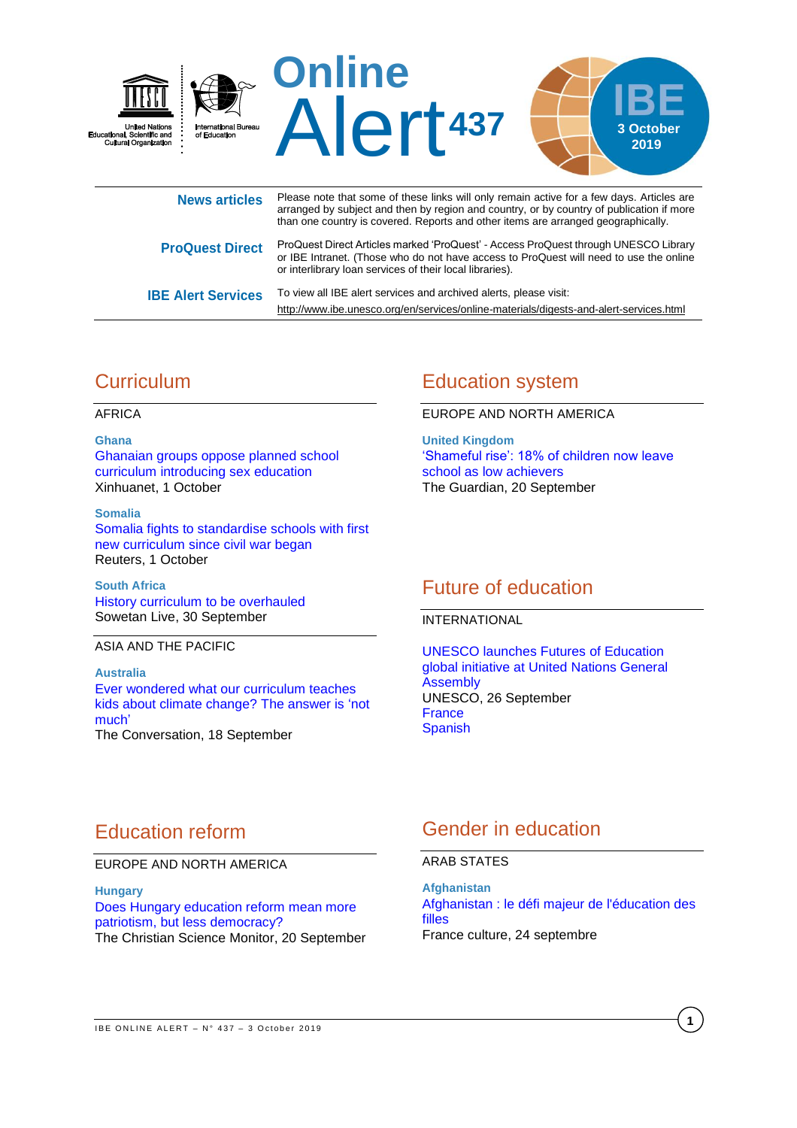

|                           | arranged by subject and then by region and country, or by country of publication if more<br>than one country is covered. Reports and other items are arranged geographically.                                                             |
|---------------------------|-------------------------------------------------------------------------------------------------------------------------------------------------------------------------------------------------------------------------------------------|
| <b>ProQuest Direct</b>    | ProQuest Direct Articles marked 'ProQuest' - Access ProQuest through UNESCO Library<br>or IBE Intranet. (Those who do not have access to ProQuest will need to use the online<br>or interlibrary loan services of their local libraries). |
| <b>IBE Alert Services</b> | To view all IBE alert services and archived alerts, please visit:<br>http://www.ibe.unesco.org/en/services/online-materials/digests-and-alert-services.html                                                                               |

# **Curriculum**

AFRICA

#### **Ghana**

Ghanaian [groups oppose planned school](http://www.xinhuanet.com/english/2019-10/01/c_138437601.htm)  [curriculum introducing sex education](http://www.xinhuanet.com/english/2019-10/01/c_138437601.htm) Xinhuanet, 1 October

#### **Somalia**

[Somalia fights to standardise schools with first](https://af.reuters.com/article/topNews/idAFKBN1WG3Q7-OZATP)  [new curriculum since civil war began](https://af.reuters.com/article/topNews/idAFKBN1WG3Q7-OZATP) Reuters, 1 October

**South Africa** [History curriculum to be overhauled](https://www.sowetanlive.co.za/news/south-africa/2019-09-30-history-curriculum-to-be-overhauled/) Sowetan Live, 30 September

#### ASIA AND THE PACIFIC

**Australia** [Ever wondered what our curriculum teaches](https://theconversation.com/ever-wondered-what-our-curriculum-teaches-kids-about-climate-change-the-answer-is-not-much-123272)  [kids about climate change? The answer is 'not](https://theconversation.com/ever-wondered-what-our-curriculum-teaches-kids-about-climate-change-the-answer-is-not-much-123272)  [much'](https://theconversation.com/ever-wondered-what-our-curriculum-teaches-kids-about-climate-change-the-answer-is-not-much-123272) The Conversation, 18 September

## Education system

EUROPE AND NORTH AMERICA

**United Kingdom** ['Shameful rise': 18% of children now leave](https://www.theguardian.com/education/2019/sep/20/shameful-rise-18-of-children-leave-school-without-basic-qualifications)  [school as low achievers](https://www.theguardian.com/education/2019/sep/20/shameful-rise-18-of-children-leave-school-without-basic-qualifications) The Guardian, 20 September

## Future of education

INTERNATIONAL

[UNESCO launches Futures of Education](https://en.unesco.org/news/unesco-launches-futures-education-global-initiative-united-nations-general-assembly)  [global initiative at United Nations General](https://en.unesco.org/news/unesco-launches-futures-education-global-initiative-united-nations-general-assembly)  [Assembly](https://en.unesco.org/news/unesco-launches-futures-education-global-initiative-united-nations-general-assembly) UNESCO, 26 September **[France](https://fr.unesco.org/news/lunesco-lance-initiative-mondiale-lavenir-leducation-lassemblee-generale-nations-unies)** [Spanish](https://es.unesco.org/news/unesco-lanza-iniciativa-mundial-futuros-educacion-asamblea-general-naciones-unidas)

## Education reform

### EUROPE AND NORTH AMERICA

#### **Hungary**

[Does Hungary education reform mean more](https://www.csmonitor.com/World/Europe/2019/0920/Does-Hungary-education-reform-mean-more-patriotism-but-less-democracy)  [patriotism, but less democracy?](https://www.csmonitor.com/World/Europe/2019/0920/Does-Hungary-education-reform-mean-more-patriotism-but-less-democracy) The Christian Science Monitor, 20 September

## Gender in education

### ARAB STATES

**Afghanistan** [Afghanistan : le défi majeur de l'éducation des](https://www.franceculture.fr/emissions/le-reportage-de-la-redaction/le-reportage-de-la-redaction-emission-du-mardi-24-septembre-2019)  [filles](https://www.franceculture.fr/emissions/le-reportage-de-la-redaction/le-reportage-de-la-redaction-emission-du-mardi-24-septembre-2019) France culture, 24 septembre

**1**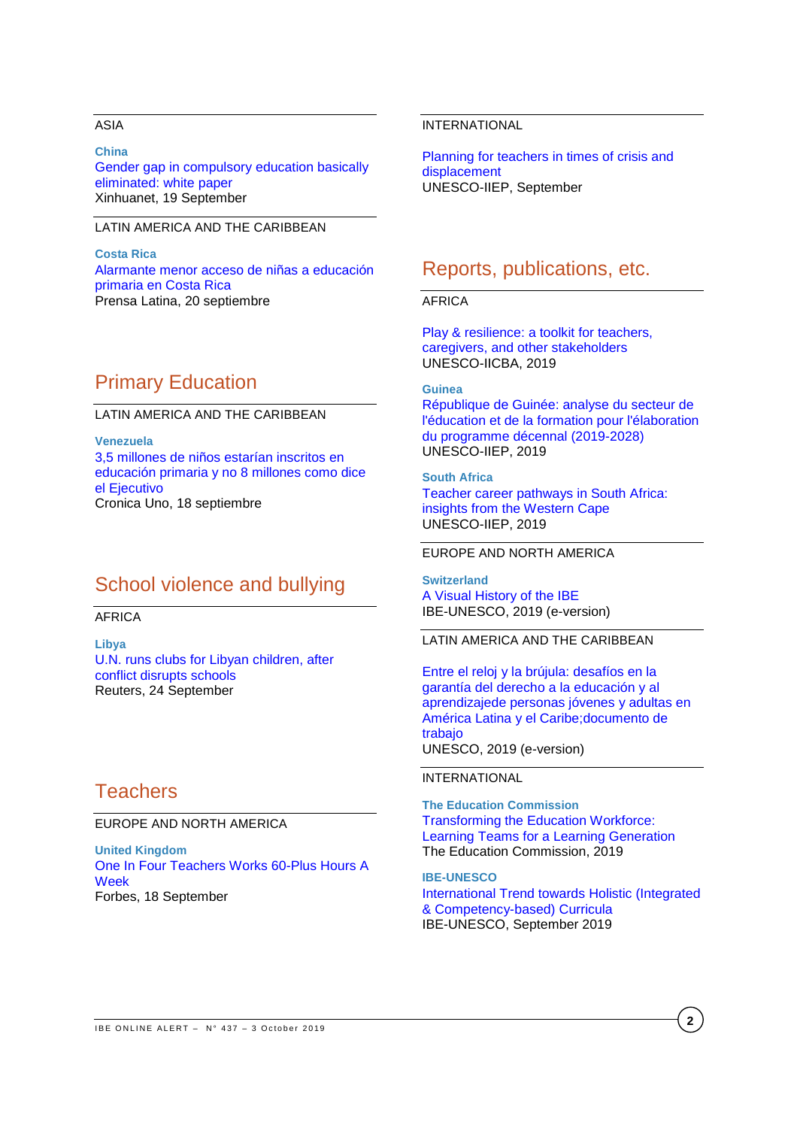### ASIA

**China** [Gender gap in compulsory education basically](http://www.xinhuanet.com/english/2019-09/19/c_138404827.htm)  [eliminated: white paper](http://www.xinhuanet.com/english/2019-09/19/c_138404827.htm) Xinhuanet, 19 September

### LATIN AMERICA AND THE CARIBBEAN

**Costa Rica** [Alarmante menor acceso de niñas a educación](https://www.prensa-latina.cu/index.php?o=rn&id=307008&SEO=alarmante-menor-acceso-de-ninas-a-educacion-primaria-en-costa-rica)  [primaria en Costa Rica](https://www.prensa-latina.cu/index.php?o=rn&id=307008&SEO=alarmante-menor-acceso-de-ninas-a-educacion-primaria-en-costa-rica) Prensa Latina, 20 septiembre

## Primary Education

LATIN AMERICA AND THE CARIBBEAN

**Venezuela** [3,5 millones de niños estarían inscritos en](http://cronica.uno/35-millones-de-ninos-estarian-inscritos-en-educacion-primaria-y-no-8-millones-como-dice-el-ejecutivo/)  [educación primaria y no 8 millones como dice](http://cronica.uno/35-millones-de-ninos-estarian-inscritos-en-educacion-primaria-y-no-8-millones-como-dice-el-ejecutivo/)  [el Ejecutivo](http://cronica.uno/35-millones-de-ninos-estarian-inscritos-en-educacion-primaria-y-no-8-millones-como-dice-el-ejecutivo/) Cronica Uno, 18 septiembre

## School violence and bullying

### AFRICA

**Libya** U.N. [runs clubs for Libyan children, after](https://uk.reuters.com/article/uk-libya-security-schools/u-n-runs-clubs-for-libyan-children-after-conflict-disrupts-schools-idUKKBN1W91DX)  [conflict disrupts schools](https://uk.reuters.com/article/uk-libya-security-schools/u-n-runs-clubs-for-libyan-children-after-conflict-disrupts-schools-idUKKBN1W91DX) Reuters, 24 September

## **Teachers**

EUROPE AND NORTH AMERICA

**United Kingdom** [One In Four Teachers Works 60-Plus Hours A](https://www.forbes.com/sites/nickmorrison/2019/09/18/one-in-four-teachers-works-60-plus-hours-a-week/#53c60d2c1050)  **[Week](https://www.forbes.com/sites/nickmorrison/2019/09/18/one-in-four-teachers-works-60-plus-hours-a-week/#53c60d2c1050)** Forbes, 18 September

### INTERNATIONAL

Planning [for teachers in times of crisis and](http://www.iiep.unesco.org/en/planning-teachers-times-crisis-and-displacement)  [displacement](http://www.iiep.unesco.org/en/planning-teachers-times-crisis-and-displacement) UNESCO-IIEP, September

### Reports, publications, etc.

#### AFRICA

[Play & resilience: a toolkit for teachers,](https://unesdoc.unesco.org/ark:/48223/pf0000370734)  [caregivers, and other stakeholders](https://unesdoc.unesco.org/ark:/48223/pf0000370734) UNESCO-IICBA, 2019

#### **Guinea**

[République de Guinée: analyse du secteur de](https://unesdoc.unesco.org/ark:/48223/pf0000370683)  [l'éducation et de la formation pour l'élaboration](https://unesdoc.unesco.org/ark:/48223/pf0000370683)  [du programme décennal \(2019-2028\)](https://unesdoc.unesco.org/ark:/48223/pf0000370683) UNESCO-IIEP, 2019

**South Africa** [Teacher career pathways in South Africa:](https://unesdoc.unesco.org/ark:/48223/pf0000370514)  [insights from the Western Cape](https://unesdoc.unesco.org/ark:/48223/pf0000370514) UNESCO-IIEP, 2019

#### EUROPE AND NORTH AMERICA

**Switzerland** [A Visual History of the IBE](https://unesdoc.unesco.org/ark:/48223/pf0000366774?posInSet=1&queryId=c13a4f81-6b5e-4d6d-9a6d-4f0be11c216f) IBE-UNESCO, 2019 (e-version)

LATIN AMERICA AND THE CARIBBEAN

[Entre el reloj y la brújula: desafíos en la](https://unesdoc.unesco.org/ark:/48223/pf0000370504)  [garantía del derecho a la educación y al](https://unesdoc.unesco.org/ark:/48223/pf0000370504)  [aprendizajede personas jóvenes y adultas en](https://unesdoc.unesco.org/ark:/48223/pf0000370504)  [América Latina y el Caribe;documento de](https://unesdoc.unesco.org/ark:/48223/pf0000370504)  [trabajo](https://unesdoc.unesco.org/ark:/48223/pf0000370504) UNESCO, 2019 (e-version)

#### INTERNATIONAL

**The Education Commission** [Transforming the Education Workforce:](http://educationcommission.org/transformingtheeducationworkforce/)  [Learning Teams for a Learning Generation](http://educationcommission.org/transformingtheeducationworkforce/) The Education Commission, 2019

**IBE-UNESCO** [International Trend towards Holistic \(Integrated](https://unesdoc.unesco.org/ark:/48223/pf0000370469)  [& Competency-based\) Curricula](https://unesdoc.unesco.org/ark:/48223/pf0000370469) IBE-UNESCO, September 2019

**2**